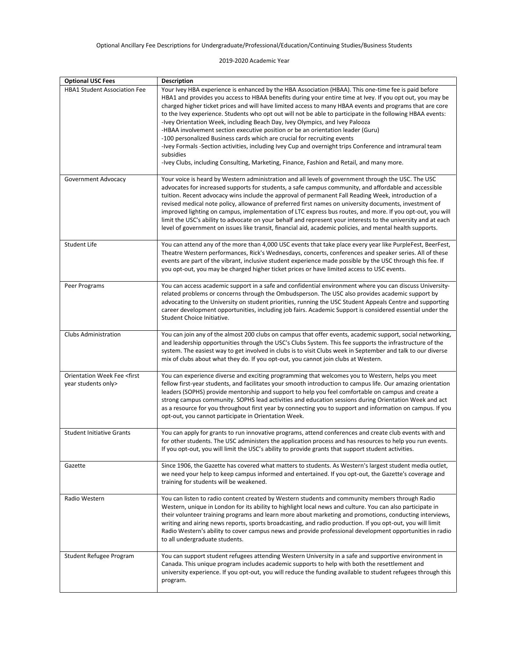2019-2020 Academic Year

| <b>Optional USC Fees</b>                                         | <b>Description</b>                                                                                                                                                                                                                                                                                                                                                                                                                                                                                                                                                                                                                                                                                                                                                                                                                                                                                               |
|------------------------------------------------------------------|------------------------------------------------------------------------------------------------------------------------------------------------------------------------------------------------------------------------------------------------------------------------------------------------------------------------------------------------------------------------------------------------------------------------------------------------------------------------------------------------------------------------------------------------------------------------------------------------------------------------------------------------------------------------------------------------------------------------------------------------------------------------------------------------------------------------------------------------------------------------------------------------------------------|
| <b>HBA1 Student Association Fee</b>                              | Your Ivey HBA experience is enhanced by the HBA Association (HBAA). This one-time fee is paid before<br>HBA1 and provides you access to HBAA benefits during your entire time at Ivey. If you opt out, you may be<br>charged higher ticket prices and will have limited access to many HBAA events and programs that are core<br>to the Ivey experience. Students who opt out will not be able to participate in the following HBAA events:<br>-Ivey Orientation Week, including Beach Day, Ivey Olympics, and Ivey Palooza<br>-HBAA involvement section executive position or be an orientation leader (Guru)<br>-100 personalized Business cards which are crucial for recruiting events<br>-Ivey Formals -Section activities, including Ivey Cup and overnight trips Conference and intramural team<br>subsidies<br>-Ivey Clubs, including Consulting, Marketing, Finance, Fashion and Retail, and many more. |
| Government Advocacy                                              | Your voice is heard by Western administration and all levels of government through the USC. The USC<br>advocates for increased supports for students, a safe campus community, and affordable and accessible<br>tuition. Recent advocacy wins include the approval of permanent Fall Reading Week, introduction of a<br>revised medical note policy, allowance of preferred first names on university documents, investment of<br>improved lighting on campus, implementation of LTC express bus routes, and more. If you opt-out, you will<br>limit the USC's ability to advocate on your behalf and represent your interests to the university and at each<br>level of government on issues like transit, financial aid, academic policies, and mental health supports.                                                                                                                                        |
| <b>Student Life</b>                                              | You can attend any of the more than 4,000 USC events that take place every year like PurpleFest, BeerFest,<br>Theatre Western performances, Rick's Wednesdays, concerts, conferences and speaker series. All of these<br>events are part of the vibrant, inclusive student experience made possible by the USC through this fee. If<br>you opt-out, you may be charged higher ticket prices or have limited access to USC events.                                                                                                                                                                                                                                                                                                                                                                                                                                                                                |
| Peer Programs                                                    | You can access academic support in a safe and confidential environment where you can discuss University-<br>related problems or concerns through the Ombudsperson. The USC also provides academic support by<br>advocating to the University on student priorities, running the USC Student Appeals Centre and supporting<br>career development opportunities, including job fairs. Academic Support is considered essential under the<br>Student Choice Initiative.                                                                                                                                                                                                                                                                                                                                                                                                                                             |
| <b>Clubs Administration</b>                                      | You can join any of the almost 200 clubs on campus that offer events, academic support, social networking,<br>and leadership opportunities through the USC's Clubs System. This fee supports the infrastructure of the<br>system. The easiest way to get involved in clubs is to visit Clubs week in September and talk to our diverse<br>mix of clubs about what they do. If you opt-out, you cannot join clubs at Western.                                                                                                                                                                                                                                                                                                                                                                                                                                                                                     |
| Orientation Week Fee <first<br>year students only&gt;</first<br> | You can experience diverse and exciting programming that welcomes you to Western, helps you meet<br>fellow first-year students, and facilitates your smooth introduction to campus life. Our amazing orientation<br>leaders (SOPHS) provide mentorship and support to help you feel comfortable on campus and create a<br>strong campus community. SOPHS lead activities and education sessions during Orientation Week and act<br>as a resource for you throughout first year by connecting you to support and information on campus. If you<br>opt-out, you cannot participate in Orientation Week.                                                                                                                                                                                                                                                                                                            |
| <b>Student Initiative Grants</b>                                 | You can apply for grants to run innovative programs, attend conferences and create club events with and<br>for other students. The USC administers the application process and has resources to help you run events.<br>If you opt-out, you will limit the USC's ability to provide grants that support student activities.                                                                                                                                                                                                                                                                                                                                                                                                                                                                                                                                                                                      |
| Gazette                                                          | Since 1906, the Gazette has covered what matters to students. As Western's largest student media outlet,<br>we need your help to keep campus informed and entertained. If you opt-out, the Gazette's coverage and<br>training for students will be weakened.                                                                                                                                                                                                                                                                                                                                                                                                                                                                                                                                                                                                                                                     |
| Radio Western                                                    | You can listen to radio content created by Western students and community members through Radio<br>Western, unique in London for its ability to highlight local news and culture. You can also participate in<br>their volunteer training programs and learn more about marketing and promotions, conducting interviews,<br>writing and airing news reports, sports broadcasting, and radio production. If you opt-out, you will limit<br>Radio Western's ability to cover campus news and provide professional development opportunities in radio<br>to all undergraduate students.                                                                                                                                                                                                                                                                                                                             |
| Student Refugee Program                                          | You can support student refugees attending Western University in a safe and supportive environment in<br>Canada. This unique program includes academic supports to help with both the resettlement and<br>university experience. If you opt-out, you will reduce the funding available to student refugees through this<br>program.                                                                                                                                                                                                                                                                                                                                                                                                                                                                                                                                                                              |